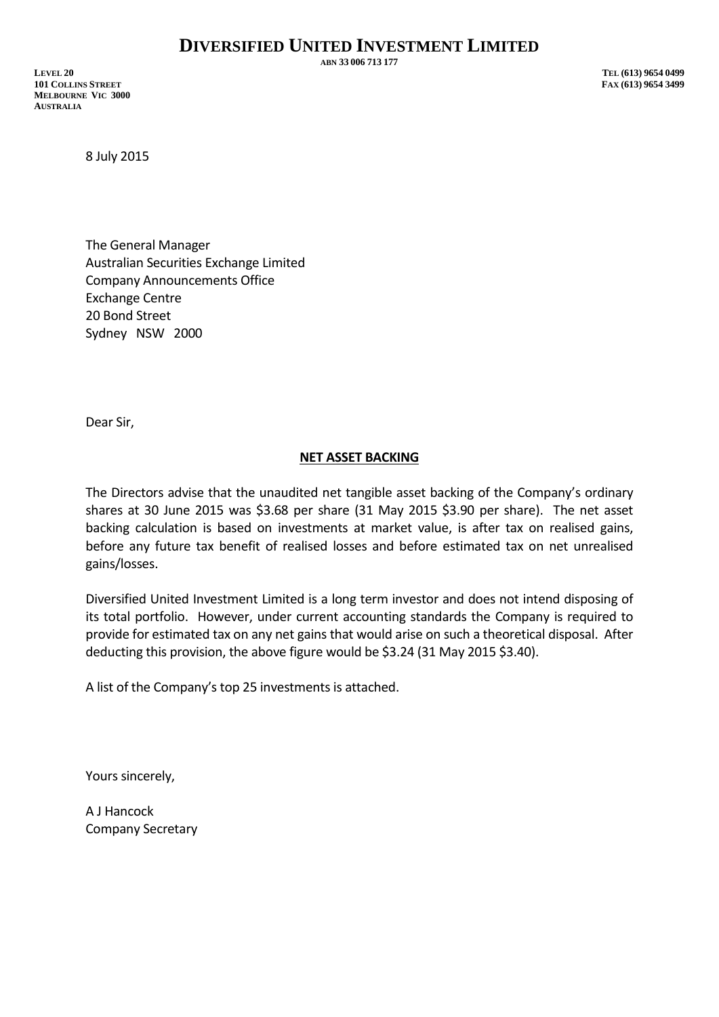**ABN 33 006 713 177**

**LEVEL 20 TEL (613) 9654 0499 101 COLLINS STREET FAX (613) 9654 3499 MELBOURNE VIC 3000 AUSTRALIA**

8 July 2015

The General Manager Australian Securities Exchange Limited Company Announcements Office Exchange Centre 20 Bond Street Sydney NSW 2000

Dear Sir,

## **NET ASSET BACKING**

The Directors advise that the unaudited net tangible asset backing of the Company's ordinary shares at 30 June 2015 was \$3.68 per share (31 May 2015 \$3.90 per share). The net asset backing calculation is based on investments at market value, is after tax on realised gains, before any future tax benefit of realised losses and before estimated tax on net unrealised gains/losses.

Diversified United Investment Limited is a long term investor and does not intend disposing of its total portfolio. However, under current accounting standards the Company is required to provide for estimated tax on any net gains that would arise on such a theoretical disposal. After deducting this provision, the above figure would be \$3.24 (31 May 2015 \$3.40).

A list of the Company's top 25 investments is attached.

Yours sincerely,

A J Hancock Company Secretary